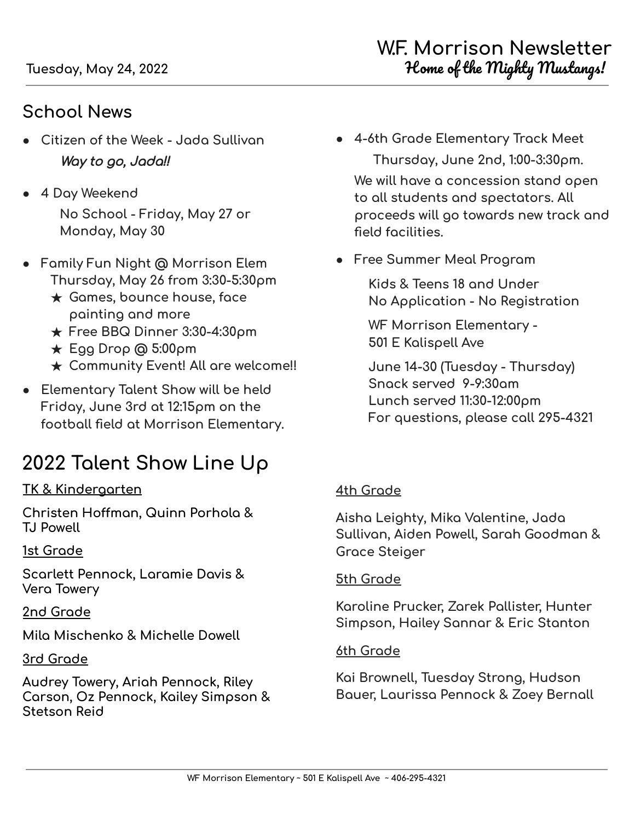# **School News**

- **Citizen of the Week - Jada Sullivan** Way to go, Jada!!
- **● 4 Day Weekend No School - Friday, May 27 or Monday, May 30**
- **● Family Fun Night @ Morrison Elem Thursday, May 26 from 3:30-5:30pm**
	- **★ Games, bounce house, face painting and more**
	- **★ Free BBQ Dinner 3:30-4:30pm**
	- **★ Egg Drop @ 5:00pm**
	- **★ Community Event! All are welcome!!**
- **● Elementary Talent Show will be held Friday, June 3rd at 12:15pm on the football field at Morrison Elementary.**

# **2022 Talent Show Line Up**

## **TK & Kindergarten**

**Christen Hoffman, Quinn Porhola & TJ Powell**

## **1st Grade**

**Scarlett Pennock, Laramie Davis & Vera Towery**

#### **2nd Grade**

**Mila Mischenko & Michelle Dowell**

#### **3rd Grade**

**Audrey Towery, Ariah Pennock, Riley Carson, Oz Pennock, Kailey Simpson & Stetson Reid**

- **● 4-6th Grade Elementary Track Meet Thursday, June 2nd, 1:00-3:30pm. We will have a concession stand open to all students and spectators. All proceeds will go towards new track and field facilities.**
- **● Free Summer Meal Program**

**Kids & Teens 18 and Under No Application - No Registration**

**WF Morrison Elementary - 501 E Kalispell Ave**

**June 14-30 (Tuesday - Thursday) Snack served 9-9:30am Lunch served 11:30-12:00pm For questions, please call 295-4321**

## **4th Grade**

**Aisha Leighty, Mika Valentine, Jada Sullivan, Aiden Powell, Sarah Goodman & Grace Steiger**

#### **5th Grade**

**Karoline Prucker, Zarek Pallister, Hunter Simpson, Hailey Sannar & Eric Stanton**

#### **6th Grade**

**Kai Brownell, Tuesday Strong, Hudson Bauer, Laurissa Pennock & Zoey Bernall**